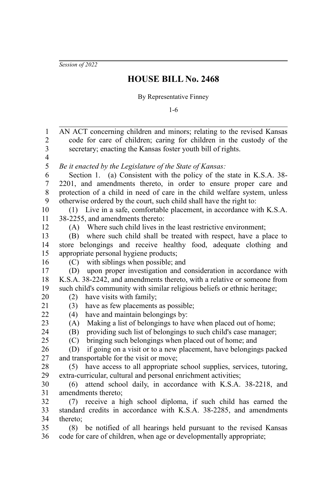*Session of 2022*

## **HOUSE BILL No. 2468**

## By Representative Finney

1-6

AN ACT concerning children and minors; relating to the revised Kansas code for care of children; caring for children in the custody of the secretary; enacting the Kansas foster youth bill of rights. *Be it enacted by the Legislature of the State of Kansas:* Section 1. (a) Consistent with the policy of the state in K.S.A. 38-2201, and amendments thereto, in order to ensure proper care and protection of a child in need of care in the child welfare system, unless otherwise ordered by the court, such child shall have the right to: (1) Live in a safe, comfortable placement, in accordance with K.S.A. 38-2255, and amendments thereto: (A) Where such child lives in the least restrictive environment; (B) where such child shall be treated with respect, have a place to store belongings and receive healthy food, adequate clothing and appropriate personal hygiene products; (C) with siblings when possible; and (D) upon proper investigation and consideration in accordance with K.S.A. 38-2242, and amendments thereto, with a relative or someone from such child's community with similar religious beliefs or ethnic heritage; (2) have visits with family; (3) have as few placements as possible; (4) have and maintain belongings by: (A) Making a list of belongings to have when placed out of home; (B) providing such list of belongings to such child's case manager; (C) bringing such belongings when placed out of home; and (D) if going on a visit or to a new placement, have belongings packed and transportable for the visit or move; (5) have access to all appropriate school supplies, services, tutoring, extra-curricular, cultural and personal enrichment activities; (6) attend school daily, in accordance with K.S.A. 38-2218, and amendments thereto; (7) receive a high school diploma, if such child has earned the standard credits in accordance with K.S.A. 38-2285, and amendments thereto; (8) be notified of all hearings held pursuant to the revised Kansas code for care of children, when age or developmentally appropriate; 1 2 3 4 5 6 7 8 9 10 11 12 13 14 15 16 17 18 19 20 21 22 23 24 25 26 27 28 29 30 31 32 33 34 35 36